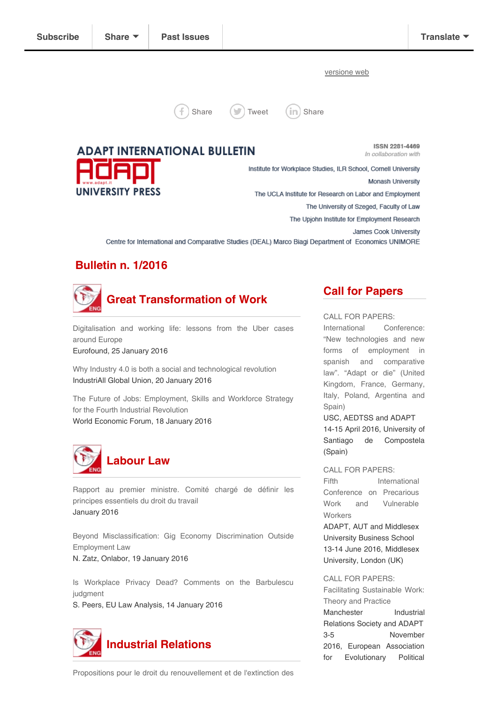[versione](http://us3.campaign-archive2.com/?u=477f592c29b5a739ce4cc8917&id=1f8adb54bc&e=[UNIQID]) web



[Share](http://www.linkedin.com/shareArticle?url=http%3A%2F%2Feepurl.com%2FbOlDC5&mini=true&title=ADAPT+International+Bulletin+n.+1%2F2016)  $(\Box)$  [Tweet](http://twitter.com/intent/tweet?text=ADAPT+International+Bulletin+n.+1%2F2016:%20http%3A%2F%2Feepurl.com%2FbOlDC5)  $(\infty)$  Share

**ADAPT INTERNATIONAL BULLETIN** 

**ISSN 2281-4469** In collaboration with

Institute for Workplace Studies, ILR School, Cornell University Monash University **UNIVERSITY PRESS** The UCLA Institute for Research on Labor and Employment The University of Szeged, Faculty of Law The Upjohn Institute for Employment Research James Cook University Centre for International and Comparative Studies (DEAL) Marco Biagi Department of Economics UNIMORE

## Bulletin n. 1/2016



[Digitalisation](http://www.eurofound.europa.eu/observatories/eurwork/articles/working-conditions-industrial-relations-law-and-regulation/digitalisation-and-working-life-lessons-from-the-uber-cases-around-europe) and working life: lessons from the Uber cases around Europe

Eurofound, 25 January 2016

Why Industry 4.0 is both a social and [technological](http://www.industriall-union.org/why-industry-40-is-both-a-social-and-technological-revolution#.Vp-Dj8sthoQ.twitter) revolution IndustriAll Global Union, 20 January 2016

The Future of Jobs: [Employment,](http://www3.weforum.org/docs/Media/WEF_Future_of_Jobs_embargoed.pdf) Skills and Workforce Strategy for the Fourth Industrial Revolution World Economic Forum, 18 January 2016



Rapport au premier ministre. Comité chargé de définir les principes [essentiels](http://travail-emploi.gouv.fr/IMG/pdf/25.01.2016_remise_du_rapport_badinter.pdf) du droit du travail January 2016

Beyond [Misclassification:](http://onlabor.org/2016/01/19/beyond-misclassification-gig-economy-discrimination-outside-employment-law/) Gig Economy Discrimination Outside Employment Law N. Zatz, Onlabor, 19 January 2016

Is Workplace Privacy Dead? Comments on the [Barbulescu](http://eulawanalysis.blogspot.com/2016/01/is-workplace-privacy-dead-comments-on.html) judgment

S. Peers, EU Law Analysis, 14 January 2016



# Call for Papers

CALL FOR PAPERS:

International Conference: "New [technologies](http://adapt.it/englishbulletin/wp/events/international-conference-new-technologies-and-new-forms-of-employment-in-spanish-and-comparative-law-adapt-or-die-united-kingdom-france-germany-italy-poland-argentina-and/) and new forms of employment in spanish and comparative law". "Adapt or die" (United Kingdom, France, Germany, Italy, Poland, Argentina and Spain)

USC, AEDTSS and ADAPT 14-15 April 2016, University of Santiago de Compostela (Spain)

CALL FOR [PAPERS:](http://adapt.it/englishbulletin/wp/events/fifth-international-conference-on-precarious-work-and-vulnerable-workers/)

Fifth [International](http://adapt.it/englishbulletin/wp/events/fifth-international-conference-on-precarious-work-and-vulnerable-workers/) Conference on Precarious Work and Vulnerable **Workers** 

ADAPT, AUT and Middlesex University Business School 13-14 June 2016, Middlesex University, London (UK)

CALL FOR [PAPERS:](http://adapt.it/englishbulletin/wp/events/facilitating-sustainable-work-theory-and-practice/)

Facilitating [Sustainable](http://adapt.it/englishbulletin/wp/events/facilitating-sustainable-work-theory-and-practice/) Work: Theory and Practice Manchester Industrial Relations Society and ADAPT 3-5 November 2016, European Association for Evolutionary Political

Propositions pour le droit du [renouvellement](http://travail-emploi.gouv.fr/IMG/pdf/rapport_cesaro.pdf) et de l'extinction des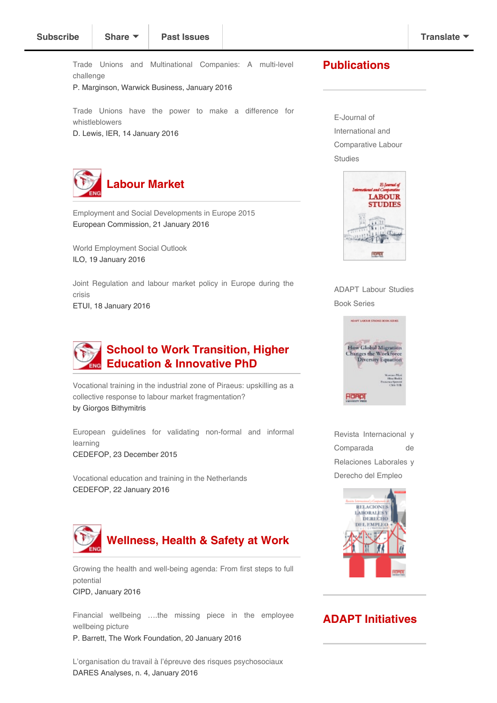Trade Unions and [Multinational](http://www2.warwick.ac.uk/fac/soc/wbs/research/irru/wpir/wpir_103.pdf) Companies: A multi-level challenge

P. Marginson, Warwick Business, January 2016

Trade Unions have the power to make a difference for [whistleblowers](http://www.ier.org.uk/blog/trade-unions-have-power-make-difference-whistleblowers#.VpjRcD-Tzdc.twitter)

D. Lewis, IER, 14 January 2016



Employment and Social [Developments](http://ec.europa.eu/social/main.jsp?catId=738&langId=en&pubId=7859&furtherPubs=yes) in Europe 2015 European Commission, 21 January 2016

World [Employment](http://www.ilo.org/wcmsp5/groups/public/---dgreports/---dcomm/---publ/documents/publication/wcms_443480.pdf) Social Outlook ILO, 19 January 2016

Joint [Regulation](https://www.etui.org/Publications2/Books/Joint-regulation-and-labour-market-policy-in-Europe-during-the-crisis) and labour market policy in Europe during the crisis ETUI, 18 January 2016



Vocational training in the industrial zone of Piraeus: upskilling as a collective response to labour market [fragmentation?](http://adapt.it/englishbulletin/wp/wp-content/uploads/2016/01/giorgos_vocational-training.pdf) by Giorgos Bithymitris

European guidelines for validating [non-formal](http://www.cedefop.europa.eu/files/3073_en.pdf) and informal learning CEDEFOP, 23 December 2015

Vocational education and training in the [Netherlands](http://www.cedefop.europa.eu/files/4142_en.pdf) CEDEFOP, 22 January 2016



Growing the health and [well-being](http://www.cipd.co.uk/binaries/health-well-being-agenda_2016-first-steps-full-potential.pdf) agenda: From first steps to full potential CIPD, January 2016

Financial wellbeing ….the missing piece in the [employee](http://www.theworkfoundation.com/blog/2549/Financial-wellbeing-the-missing-piece-in-the-employee-wellbeing-picture) wellbeing picture

P. Barrett, The Work Foundation, 20 January 2016

L'organisation du travail à l'épreuve des risques [psychosociaux](http://dares.travail-emploi.gouv.fr/IMG/pdf/2016-004v2.pdf) DARES Analyses, n. 4, January 2016

#### **Publications**

E-Journal of International and [Comparative](http://www.adapt.it/EJCLS/index.php/ejcls_adapt) Labour Studies



ADAPT Labour [Studies](http://adapt.it/englishbulletin/wp/adapt-labor-studies-book-series/) Book Series



Revista [Internacional](http://adapt.it/EJCLS/index.php/rlde_adapt/index) y Comparada de Relaciones Laborales y Derecho del Empleo



### ADAPT Initiatives